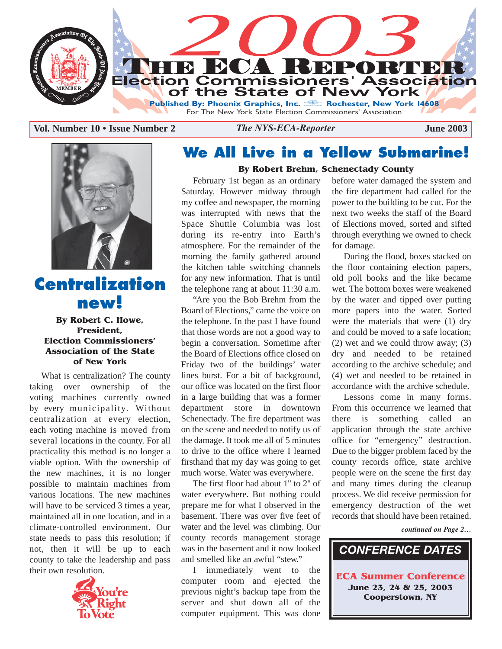

**Vol. Number 10 • Issue Number 2** *The NYS-ECA-Reporter* **June 2003** 



## **Centralization new!**

**By Robert C. Howe, President, Election Commissioners' Association of the State of New York**

What is centralization? The county taking over ownership of the voting machines currently owned by every municipality. Without centralization at every election, each voting machine is moved from several locations in the county. For all practicality this method is no longer a viable option. With the ownership of the new machines, it is no longer possible to maintain machines from various locations. The new machines will have to be serviced 3 times a year, maintained all in one location, and in a climate-controlled environment. Our state needs to pass this resolution; if not, then it will be up to each county to take the leadership and pass their own resolution.



## **We All Live in a Yellow Submarine!**

#### **By Robert Brehm, Schenectady County**

February 1st began as an ordinary Saturday. However midway through my coffee and newspaper, the morning was interrupted with news that the Space Shuttle Columbia was lost during its re-entry into Earth's atmosphere. For the remainder of the morning the family gathered around the kitchen table switching channels for any new information. That is until the telephone rang at about 11:30 a.m.

"Are you the Bob Brehm from the Board of Elections," came the voice on the telephone. In the past I have found that those words are not a good way to begin a conversation. Sometime after the Board of Elections office closed on Friday two of the buildings' water lines burst. For a bit of background, our office was located on the first floor in a large building that was a former department store in downtown Schenectady. The fire department was on the scene and needed to notify us of the damage. It took me all of 5 minutes to drive to the office where I learned firsthand that my day was going to get much worse. Water was everywhere.

The first floor had about 1'' to 2'' of water everywhere. But nothing could prepare me for what I observed in the basement. There was over five feet of water and the level was climbing. Our county records management storage was in the basement and it now looked and smelled like an awful "stew."

I immediately went to the computer room and ejected the previous night's backup tape from the server and shut down all of the computer equipment. This was done

before water damaged the system and the fire department had called for the power to the building to be cut. For the next two weeks the staff of the Board of Elections moved, sorted and sifted through everything we owned to check for damage.

During the flood, boxes stacked on the floor containing election papers, old poll books and the like became wet. The bottom boxes were weakened by the water and tipped over putting more papers into the water. Sorted were the materials that were (1) dry and could be moved to a safe location; (2) wet and we could throw away; (3) dry and needed to be retained according to the archive schedule; and (4) wet and needed to be retained in accordance with the archive schedule.

Lessons come in many forms. From this occurrence we learned that there is something called an application through the state archive office for "emergency" destruction. Due to the bigger problem faced by the county records office, state archive people were on the scene the first day and many times during the cleanup process. We did receive permission for emergency destruction of the wet records that should have been retained.

*continued on Page 2…*

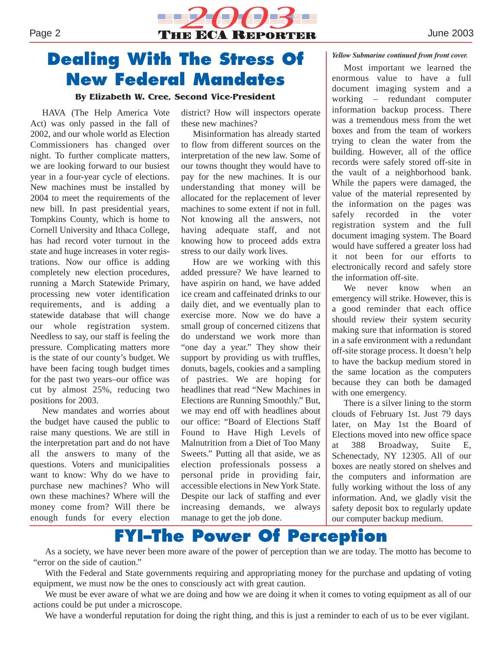

# **Dealing With The Stress Of New Federal Mandates**

#### **By Elizabeth W. Cree, Second Vice-President**

HAVA (The Help America Vote Act) was only passed in the fall of 2002, and our whole world as Election Commissioners has changed over night. To further complicate matters, we are looking forward to our busiest year in a four-year cycle of elections. New machines must be installed by 2004 to meet the requirements of the new bill. In past presidential years, Tompkins County, which is home to Cornell University and Ithaca College, has had record voter turnout in the state and huge increases in voter registrations. Now our office is adding completely new election procedures, running a March Statewide Primary, processing new voter identification requirements, and is adding a statewide database that will change our whole registration system. Needless to say, our staff is feeling the pressure. Complicating matters more is the state of our county's budget. We have been facing tough budget times for the past two years–our office was cut by almost 25%, reducing two positions for 2003.

New mandates and worries about the budget have caused the public to raise many questions. We are still in the interpretation part and do not have all the answers to many of the questions. Voters and municipalities want to know: Why do we have to purchase new machines? Who will own these machines? Where will the money come from? Will there be enough funds for every election district? How will inspectors operate these new machines?

Misinformation has already started to flow from different sources on the interpretation of the new law. Some of our towns thought they would have to pay for the new machines. It is our understanding that money will be allocated for the replacement of lever machines to some extent if not in full. Not knowing all the answers, not having adequate staff, and not knowing how to proceed adds extra stress to our daily work lives.

How are we working with this added pressure? We have learned to have aspirin on hand, we have added ice cream and caffeinated drinks to our daily diet, and we eventually plan to exercise more. Now we do have a small group of concerned citizens that do understand we work more than "one day a year." They show their support by providing us with truffles, donuts, bagels, cookies and a sampling of pastries. We are hoping for headlines that read "New Machines in Elections are Running Smoothly." But, we may end off with headlines about our office: "Board of Elections Staff Found to Have High Levels of Malnutrition from a Diet of Too Many Sweets." Putting all that aside, we as election professionals possess a personal pride in providing fair, accessible elections in New York State. Despite our lack of staffing and ever increasing demands, we always manage to get the job done.

#### *Yellow Submarine continued from front cover.*

Most important we learned the enormous value to have a full document imaging system and a working – redundant computer information backup process. There was a tremendous mess from the wet boxes and from the team of workers trying to clean the water from the building. However, all of the office records were safely stored off-site in the vault of a neighborhood bank. While the papers were damaged, the value of the material represented by the information on the pages was safely recorded in the voter registration system and the full document imaging system. The Board would have suffered a greater loss had it not been for our efforts to electronically record and safely store the information off-site.

We never know when an emergency will strike. However, this is a good reminder that each office should review their system security making sure that information is stored in a safe environment with a redundant off-site storage process. It doesn't help to have the backup medium stored in the same location as the computers because they can both be damaged with one emergency.

There is a silver lining to the storm clouds of February 1st. Just 79 days later, on May 1st the Board of Elections moved into new office space at 388 Broadway, Suite E, Schenectady, NY 12305. All of our boxes are neatly stored on shelves and the computers and information are fully working without the loss of any information. And, we gladly visit the safety deposit box to regularly update our computer backup medium.

### **FYI–The Power Of Perception**

As a society, we have never been more aware of the power of perception than we are today. The motto has become to "error on the side of caution."

With the Federal and State governments requiring and appropriating money for the purchase and updating of voting equipment, we must now be the ones to consciously act with great caution.

We must be ever aware of what we are doing and how we are doing it when it comes to voting equipment as all of our actions could be put under a microscope.

We have a wonderful reputation for doing the right thing, and this is just a reminder to each of us to be ever vigilant.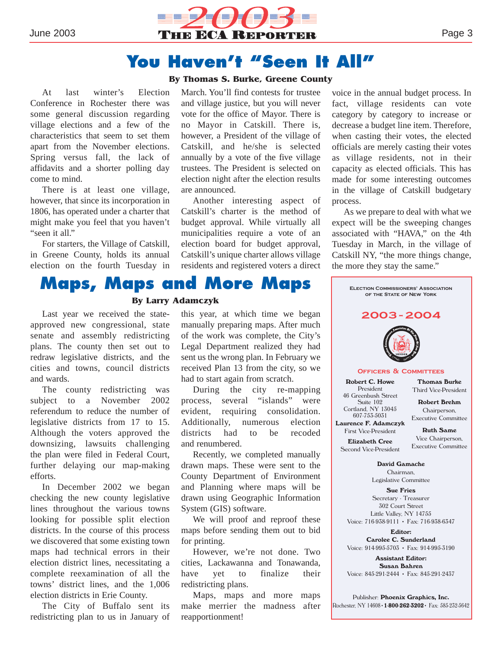

### **You Haven't "Seen It All"**

#### **By Thomas S. Burke, Greene County**

At last winter's Election Conference in Rochester there was some general discussion regarding village elections and a few of the characteristics that seem to set them apart from the November elections. Spring versus fall, the lack of affidavits and a shorter polling day come to mind.

There is at least one village, however, that since its incorporation in 1806, has operated under a charter that might make you feel that you haven't "seen it all."

For starters, the Village of Catskill, in Greene County, holds its annual election on the fourth Tuesday in March. You'll find contests for trustee and village justice, but you will never vote for the office of Mayor. There is no Mayor in Catskill. There is, however, a President of the village of Catskill, and he/she is selected annually by a vote of the five village trustees. The President is selected on election night after the election results are announced.

Another interesting aspect of Catskill's charter is the method of budget approval. While virtually all municipalities require a vote of an election board for budget approval, Catskill's unique charter allows village residents and registered voters a direct

voice in the annual budget process. In fact, village residents can vote category by category to increase or decrease a budget line item. Therefore, when casting their votes, the elected officials are merely casting their votes as village residents, not in their capacity as elected officials. This has made for some interesting outcomes in the village of Catskill budgetary process.

As we prepare to deal with what we expect will be the sweeping changes associated with "HAVA," on the 4th Tuesday in March, in the village of Catskill NY, "the more things change, the more they stay the same."



#### **By Larry Adamczyk**

Last year we received the stateapproved new congressional, state senate and assembly redistricting plans. The county then set out to redraw legislative districts, and the cities and towns, council districts and wards.

The county redistricting was subject to a November 2002 referendum to reduce the number of legislative districts from 17 to 15. Although the voters approved the downsizing, lawsuits challenging the plan were filed in Federal Court, further delaying our map-making efforts.

In December 2002 we began checking the new county legislative lines throughout the various towns looking for possible split election districts. In the course of this process we discovered that some existing town maps had technical errors in their election district lines, necessitating a complete reexamination of all the towns' district lines, and the 1,006 election districts in Erie County.

The City of Buffalo sent its redistricting plan to us in January of this year, at which time we began manually preparing maps. After much of the work was complete, the City's Legal Department realized they had sent us the wrong plan. In February we received Plan 13 from the city, so we had to start again from scratch.

During the city re-mapping process, several "islands" were evident, requiring consolidation. Additionally, numerous election districts had to be recoded and renumbered.

Recently, we completed manually drawn maps. These were sent to the County Department of Environment and Planning where maps will be drawn using Geographic Information System (GIS) software.

We will proof and reproof these maps before sending them out to bid for printing.

However, we're not done. Two cities, Lackawanna and Tonawanda, have yet to finalize their redistricting plans.

Maps, maps and more maps make merrier the madness after reapportionment!



Voice: 845-291-2444 • Fax: 845-291-2437

Publisher: **Phoenix Graphics, Inc.** Rochester, NY 14608•**1-800-262-3202**• Fax: 585-232-5642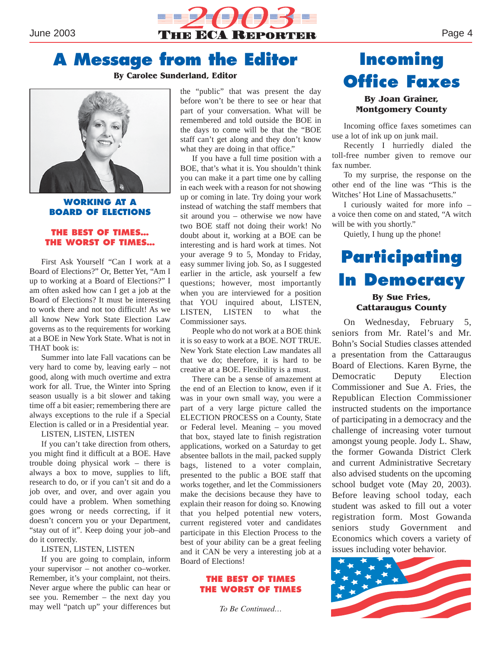

## **A Message from the Editor**

#### **By Carolee Sunderland, Editor**



**WORKING AT A BOARD OF ELECTIONS**

#### **THE BEST OF TIMES… THE WORST OF TIMES…**

First Ask Yourself "Can I work at a Board of Elections?" Or, Better Yet, "Am I up to working at a Board of Elections?" I am often asked how can I get a job at the Board of Elections? It must be interesting to work there and not too difficult! As we all know New York State Election Law governs as to the requirements for working at a BOE in New York State. What is not in THAT book is:

Summer into late Fall vacations can be very hard to come by, leaving early – not good, along with much overtime and extra work for all. True, the Winter into Spring season usually is a bit slower and taking time off a bit easier; remembering there are always exceptions to the rule if a Special Election is called or in a Presidential year.

LISTEN, LISTEN, LISTEN

If you can't take direction from others, you might find it difficult at a BOE. Have trouble doing physical work – there is always a box to move, supplies to lift, research to do, or if you can't sit and do a job over, and over, and over again you could have a problem. When something goes wrong or needs correcting, if it doesn't concern you or your Department, "stay out of it". Keep doing your job–and do it correctly.

#### LISTEN, LISTEN, LISTEN

If you are going to complain, inform your supervisor – not another co–worker. Remember, it's your complaint, not theirs. Never argue where the public can hear or see you. Remember – the next day you may well "patch up" your differences but

the "public" that was present the day before won't be there to see or hear that part of your conversation. What will be remembered and told outside the BOE in the days to come will be that the "BOE staff can't get along and they don't know what they are doing in that office."

If you have a full time position with a BOE, that's what it is. You shouldn't think you can make it a part time one by calling in each week with a reason for not showing up or coming in late. Try doing your work instead of watching the staff members that sit around you – otherwise we now have two BOE staff not doing their work! No doubt about it, working at a BOE can be interesting and is hard work at times. Not your average 9 to 5, Monday to Friday, easy summer living job. So, as I suggested earlier in the article, ask yourself a few questions; however, most importantly when you are interviewed for a position that YOU inquired about, LISTEN, LISTEN, LISTEN to what the Commissioner says.

People who do not work at a BOE think it is so easy to work at a BOE. NOT TRUE. New York State election Law mandates all that we do; therefore, it is hard to be creative at a BOE. Flexibility is a must.

There can be a sense of amazement at the end of an Election to know, even if it was in your own small way, you were a part of a very large picture called the ELECTION PROCESS on a County, State or Federal level. Meaning – you moved that box, stayed late to finish registration applications, worked on a Saturday to get absentee ballots in the mail, packed supply bags, listened to a voter complain, presented to the public a BOE staff that works together, and let the Commissioners make the decisions because they have to explain their reason for doing so. Knowing that you helped potential new voters, current registered voter and candidates participate in this Election Process to the best of your ability can be a great feeling and it CAN be very a interesting job at a Board of Elections!

#### **THE BEST OF TIMES THE WORST OF TIMES**

*To Be Continued…*

# **Incoming Office Faxes**

#### **By Joan Grainer, Montgomery County**

Incoming office faxes sometimes can use a lot of ink up on junk mail.

Recently I hurriedly dialed the toll-free number given to remove our fax number.

To my surprise, the response on the other end of the line was "This is the Witches' Hot Line of Massachusetts."

I curiously waited for more info – a voice then come on and stated, "A witch will be with you shortly."

Quietly, I hung up the phone!

### **Participating In Democracy By Sue Fries, Cattaraugus County**

On Wednesday, February 5, seniors from Mr. Ratel's and Mr. Bohn's Social Studies classes attended a presentation from the Cattaraugus Board of Elections. Karen Byrne, the Democratic Deputy Election Commissioner and Sue A. Fries, the Republican Election Commissioner instructed students on the importance of participating in a democracy and the challenge of increasing voter turnout amongst young people. Jody L. Shaw, the former Gowanda District Clerk and current Administrative Secretary also advised students on the upcoming school budget vote (May 20, 2003). Before leaving school today, each student was asked to fill out a voter registration form. Most Gowanda seniors study Government and Economics which covers a variety of issues including voter behavior.

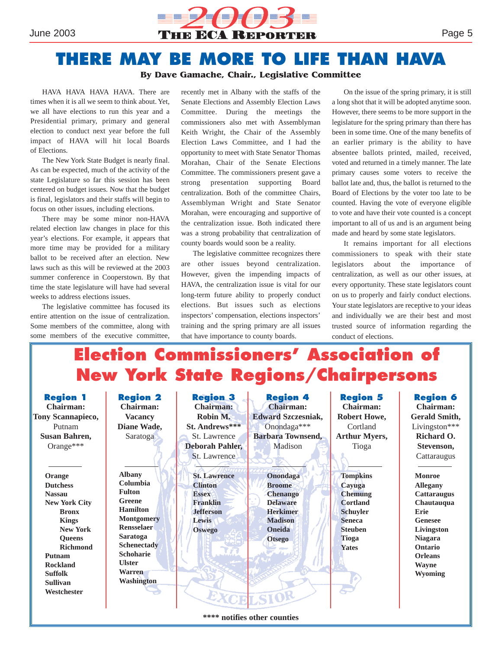

# **THERE MAY BE MORE TO LIFE THAN HAVA**

#### **By Dave Gamache, Chair., Legislative Committee**

HAVA HAVA HAVA HAVA. There are times when it is all we seem to think about. Yet, we all have elections to run this year and a Presidential primary, primary and general election to conduct next year before the full impact of HAVA will hit local Boards of Elections.

The New York State Budget is nearly final. As can be expected, much of the activity of the state Legislature so far this session has been centered on budget issues. Now that the budget is final, legislators and their staffs will begin to focus on other issues, including elections.

There may be some minor non-HAVA related election law changes in place for this year's elections. For example, it appears that more time may be provided for a military ballot to be received after an election. New laws such as this will be reviewed at the 2003 summer conference in Cooperstown. By that time the state legislature will have had several weeks to address elections issues.

The legislative committee has focused its entire attention on the issue of centralization. Some members of the committee, along with some members of the executive committee,

recently met in Albany with the staffs of the Senate Elections and Assembly Election Laws Committee. During the meetings the commissioners also met with Assemblyman Keith Wright, the Chair of the Assembly Election Laws Committee, and I had the opportunity to meet with State Senator Thomas Morahan, Chair of the Senate Elections Committee. The commissioners present gave a strong presentation supporting Board centralization. Both of the committee Chairs, Assemblyman Wright and State Senator Morahan, were encouraging and supportive of the centralization issue. Both indicated there was a strong probability that centralization of county boards would soon be a reality.

The legislative committee recognizes there are other issues beyond centralization. However, given the impending impacts of HAVA, the centralization issue is vital for our long-term future ability to properly conduct elections. But issues such as elections inspectors' compensation, elections inspectors' training and the spring primary are all issues that have importance to county boards.

On the issue of the spring primary, it is still a long shot that it will be adopted anytime soon. However, there seems to be more support in the legislature for the spring primary than there has been in some time. One of the many benefits of an earlier primary is the ability to have absentee ballots printed, mailed, received, voted and returned in a timely manner. The late primary causes some voters to receive the ballot late and, thus, the ballot is returned to the Board of Elections by the voter too late to be counted. Having the vote of everyone eligible to vote and have their vote counted is a concept important to all of us and is an argument being made and heard by some state legislators.

It remains important for all elections commissioners to speak with their state legislators about the importance of centralization, as well as our other issues, at every opportunity. These state legislators count on us to properly and fairly conduct elections. Your state legislators are receptive to your ideas and individually we are their best and most trusted source of information regarding the conduct of elections.

# **Election Commissioners' Association of New York State Regions/Chairpersons**

**Region 1 Chairman: Tony Scannapieco,** Putnam **Susan Bahren,** Orange\*\*\* **Orange Dutchess Nassau New York City Bronx Kings New York Queens Richmond Putnam Rockland Suffolk Sullivan Westchester Region 2 Chairman: Vacancy Diane Wade,** Saratoga **Albany Columbia Fulton Greene Hamilton Montgomery Rensselaer Saratoga Schenectady Schoharie Ulster Warren Washington Region 3 Chairman: Robin M. St. Andrews\*\*\*** St. Lawrence **Deborah Pahler,** St. Lawrence **St. Lawrence Clinton Essex Franklin Jefferson Lewis Oswego Region 4 Chairman: Edward Szczesniak,** Onondaga\*\*\* **Barbara Townsend,** Madison **Onondaga Broome Chenango Delaware Herkimer Madison Oneida Otsego Region 5 Chairman: Robert Howe,** Cortland **Arthur Myers,** Tioga **Tompkins Cayuga Chemung Cortland Schuyler Seneca Steuben Tioga Yates Region 6 Chairman: Gerald Smith,** Livingston\*\*\* **Richard O. Stevenson, Cattaraugus Monroe Allegany Cattaraugus Chautauqua Erie Genesee Livingston Niagara Ontario Orleans Wayne Wyoming**

**\*\*\*\* notifies other counties**